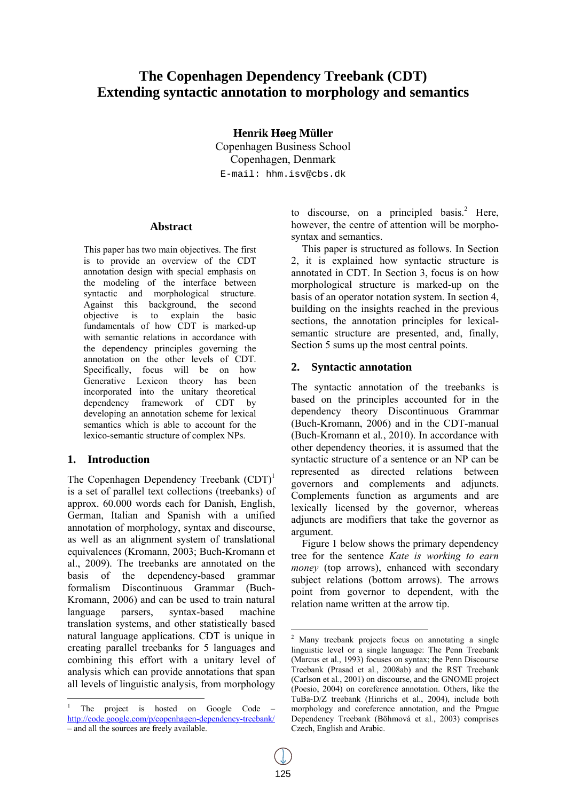# **The Copenhagen Dependency Treebank (CDT) Extending syntactic annotation to morphology and semantics**

**Henrik Høeg Müller** 

Copenhagen Business School Copenhagen, Denmark E-mail: hhm.isv@cbs.dk

### **Abstract**

This paper has two main objectives. The first is to provide an overview of the CDT annotation design with special emphasis on the modeling of the interface between syntactic and morphological structure. Against this background, the second objective is to explain the basic fundamentals of how CDT is marked-up with semantic relations in accordance with the dependency principles governing the annotation on the other levels of CDT. Specifically, focus will be on how Generative Lexicon theory has been incorporated into the unitary theoretical dependency framework of CDT by developing an annotation scheme for lexical semantics which is able to account for the lexico-semantic structure of complex NPs.

### **1. Introduction**

The Copenhagen Dependency Treebank  $(CDT)^1$ is a set of parallel text collections (treebanks) of approx. 60.000 words each for Danish, English, German, Italian and Spanish with a unified annotation of morphology, syntax and discourse, as well as an alignment system of translational equivalences (Kromann, 2003; Buch-Kromann et al., 2009). The treebanks are annotated on the basis of the dependency-based grammar formalism Discontinuous Grammar (Buch-Kromann, 2006) and can be used to train natural language parsers, syntax-based machine translation systems, and other statistically based natural language applications. CDT is unique in creating parallel treebanks for 5 languages and combining this effort with a unitary level of analysis which can provide annotations that span all levels of linguistic analysis, from morphology

to discourse, on a principled basis.<sup>2</sup> Here, however, the centre of attention will be morphosyntax and semantics.

This paper is structured as follows. In Section 2, it is explained how syntactic structure is annotated in CDT. In Section 3, focus is on how morphological structure is marked-up on the basis of an operator notation system. In section 4, building on the insights reached in the previous sections, the annotation principles for lexicalsemantic structure are presented, and, finally, Section 5 sums up the most central points.

### **2. Syntactic annotation**

The syntactic annotation of the treebanks is based on the principles accounted for in the dependency theory Discontinuous Grammar (Buch-Kromann, 2006) and in the CDT-manual (Buch-Kromann et al*.*, 2010). In accordance with other dependency theories, it is assumed that the syntactic structure of a sentence or an NP can be represented as directed relations between governors and complements and adjuncts. Complements function as arguments and are lexically licensed by the governor, whereas adjuncts are modifiers that take the governor as argument.

Figure 1 below shows the primary dependency tree for the sentence *Kate is working to earn money* (top arrows), enhanced with secondary subject relations (bottom arrows). The arrows point from governor to dependent, with the relation name written at the arrow tip.

<sup>1</sup> The project is hosted on Google Code – http://code.google.com/p/copenhagen-dependency-treebank/ – and all the sources are freely available.

 2 Many treebank projects focus on annotating a single linguistic level or a single language: The Penn Treebank (Marcus et al., 1993) focuses on syntax; the Penn Discourse Treebank (Prasad et al*.*, 2008ab) and the RST Treebank (Carlson et al*.*, 2001) on discourse, and the GNOME project (Poesio, 2004) on coreference annotation. Others, like the TuBa-D/Z treebank (Hinrichs et al., 2004), include both morphology and coreference annotation, and the Prague Dependency Treebank (Böhmová et al*.*, 2003) comprises Czech, English and Arabic.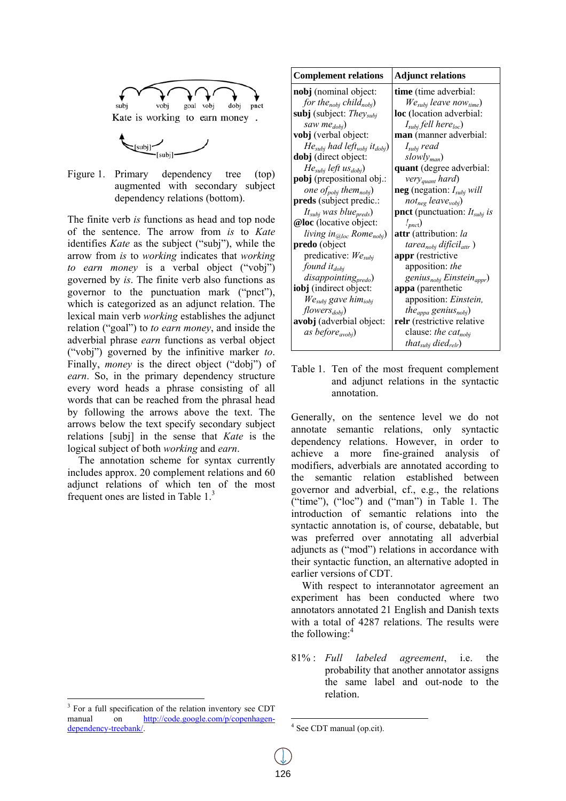



Figure 1 . Primary dependenc augmented with secondary subject dependency relations (bottom). tree (top)

The finite verb *is* functions as head and top node of the sentence. The arrow from *is* to *Kate* identifies *Kate* as the subject ("subj"), while the arrow from *is* to *working* indicates that *working to earn money* is a verbal object ("vobj") governed by *is*. The finite verb also functions as governor to the punctuation mark ("pnct"), which is categorized as an adjunct relation. The lexical main verb *working* establishes the adjunct relation ("goal") to *to earn money*, and inside the adverbial phrase *earn* functions as verbal object ("vobj") governed by the infinitive marker to. Finally, *money* is the direct object ("dobj") of earn. So, in the primary dependency structure every word heads a phrase consisting of all words that can be reached from the phrasal head by following the arrows above the text. The arrows b below the te xt specify se econdary sub bject relations [subj] in the sense that *Kate* is the logical subject of both *working* and *earn*.

The annotation scheme for syntax currently includes approx. 20 complement relations and 60 adjunct relations of which ten of the most frequent ones are listed in Table  $1<sup>3</sup>$ 

| <b>Complement relations</b>                               | <b>Adjunct relations</b>                        |  |
|-----------------------------------------------------------|-------------------------------------------------|--|
| nobj (nominal object:                                     | time (time adverbial:                           |  |
| for the <sub>nobj</sub> child <sub>nobj</sub> )           | $We_{subj}$ leave now <sub>time</sub> )         |  |
| subj (subject: <i>They<sub>subi</sub></i>                 | <b>loc</b> (location adverbial:                 |  |
| saw me <sub>dobi</sub> )                                  | $Isubj$ fell here <sub>loc</sub> )              |  |
| <b>vobj</b> (verbal object:                               | man (manner adverbial:                          |  |
| $He_{subj}$ had left <sub>vobj</sub> it <sub>dobj</sub> ) | $I_{subj}$ read                                 |  |
| dobj (direct object:                                      | $slowly_{man}$                                  |  |
| $Hesubj left usdobi$                                      | quant (degree adverbial:                        |  |
| pobj (prepositional obj.:                                 | very <sub>quant</sub> hard)                     |  |
| one of <sub>pobi</sub> them <sub>nobi</sub> )             | <b>neg</b> (negation: $I_{subj}$ will           |  |
| <b>preds</b> (subject predic.:                            | not <sub>neg</sub> leave <sub>vobi</sub> )      |  |
| $Itsubj was bluepreds$                                    | <b>pnct</b> (punctuation: $It_{subj}$ is        |  |
| @loc (locative object:                                    | $\mathcal{L}_{pnc}$                             |  |
| living in <sub>@loc</sub> Rome <sub>nobi</sub> )          | <b>attr</b> (attribution: la                    |  |
| predo (object                                             | tarea <sub>nobi</sub> difícil <sub>attr</sub> ) |  |
| predicative: $We_{subi}$                                  | appr (restrictive                               |  |
| found $it_{dobi}$                                         | apposition: the                                 |  |
| disappointing <sub>predo</sub> )                          | genius $_{nobj}$ Einstein <sub>appr</sub> )     |  |
| <b>iobj</b> (indirect object:                             | <b>appa</b> (parenthetic                        |  |
| We <sub>subi</sub> gave him <sub>iobi</sub>               | apposition: Einstein,                           |  |
| $flowers_{dobj}$                                          | the <sub>appa</sub> genius <sub>nobi</sub> )    |  |
| avobj (adverbial object:                                  | relr (restrictive relative                      |  |
| as before <sub>avobi</sub> )                              | clause: the cat <sub>nobi</sub>                 |  |
|                                                           | that <sub>subj</sub> died <sub>relr</sub> )     |  |

Table 1. Ten of the most frequent complement and adjunct relations in the syntactic annotation.

Generally, on the sentence level we do not annotate semantic relations, only syntactic dependency relations. However, in order to achieve a more fine-grained analysis of modifiers, adverbials are annotated according to the gov ernor and a adverbial, cf f., e.g., the relations ("time"), (" $loc$ ") and ("man") in Table 1. The introduction of semantic relations into the syntactic annotation is, of course, debatable, but was s preferred over anno tating all adverbial adjuncts as ("mod") relations in accordance with their syntactic function, an alternative adopted in earl ier versions of CDT. semantic relation established between

With respect to interannotator agreement an experiment has been conducted where two annotators annotated 21 English and Danish texts with a total of 4287 relations. The results were the following:<sup>4</sup>

81% % : *Full l labeled ag* probability that another annotator assigns the same label and out-node to the relation. .*greement*, i.e. the

<sup>&</sup>lt;sup>3</sup> For a full specification of the relation inventory see CDT manual dependency-treebank/. on http://code.google.com/p/copenhagen-

 $4$  See CDT manual (op.cit).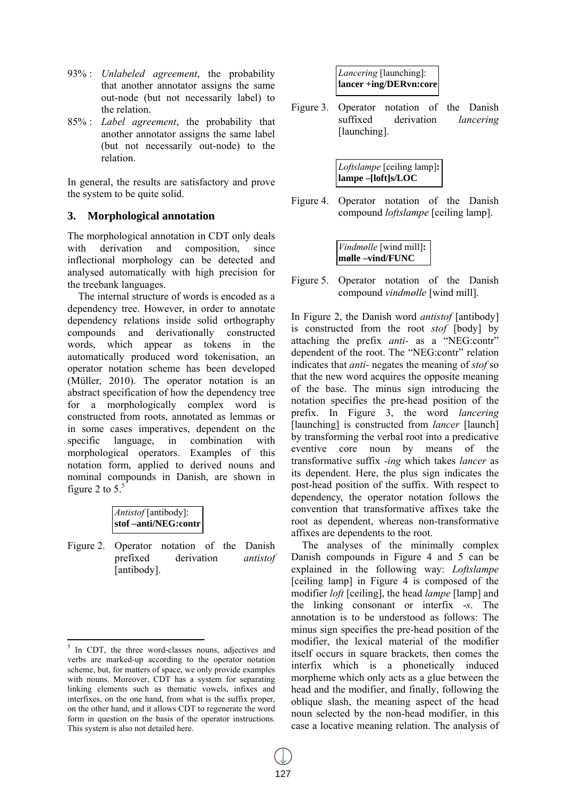- 93% : *Unlabeled agreement*, the probability that another annotator assigns the same out-node (but not necessarily label) to the relation.
- 85% : *Label agreement*, the probability that another annotator assigns the same label (but not necessarily out-node) to the relation.

In general, the results are satisfactory and prove the system to be quite solid.

# **3. Morphological annotation**

The morphological annotation in CDT only deals with derivation and composition, since inflectional morphology can be detected and analysed automatically with high precision for the treebank languages.

The internal structure of words is encoded as a dependency tree. However, in order to annotate dependency relations inside solid orthography compounds and derivationally constructed words, which appear as tokens in the automatically produced word tokenisation, an operator notation scheme has been developed (Müller, 2010). The operator notation is an abstract specification of how the dependency tree for a morphologically complex word is constructed from roots, annotated as lemmas or in some cases imperatives, dependent on the specific language, in combination with morphological operators. Examples of this notation form, applied to derived nouns and nominal compounds in Danish, are shown in figure 2 to  $5<sup>5</sup>$ 

| <i>Antistof</i> [antibody]: |
|-----------------------------|
| $ stof -anti/NEG:contr $    |

Figure 2. Operator notation of the Danish prefixed derivation *antistof* [antibody].

| <i>Lancering</i> [launching]: |
|-------------------------------|
| lancer +ing/DERvn:core        |

Figure 3. Operator notation of the Danish suffixed derivation *lancering* [launching].

| Loftslampe [ceiling lamp]:<br>  <b>lampe -[loft]s/LOC</b> |
|-----------------------------------------------------------|
|                                                           |

Figure 4. Operator notation of the Danish compound *loftslampe* [ceiling lamp].

| Vindmølle [wind mill]:<br>mølle –vind/FUNC |  |
|--------------------------------------------|--|

Figure 5. Operator notation of the Danish compound *vindmølle* [wind mill].

In Figure 2, the Danish word *antistof* [antibody] is constructed from the root *stof* [body] by attaching the prefix *anti-* as a "NEG:contr" dependent of the root. The "NEG:contr" relation indicates that *anti-* negates the meaning of *stof* so that the new word acquires the opposite meaning of the base. The minus sign introducing the notation specifies the pre-head position of the prefix. In Figure 3, the word *lancering* [launching] is constructed from *lancer* [launch] by transforming the verbal root into a predicative eventive core noun by means of the transformative suffix *-ing* which takes *lancer* as its dependent. Here, the plus sign indicates the post-head position of the suffix. With respect to dependency, the operator notation follows the convention that transformative affixes take the root as dependent, whereas non-transformative affixes are dependents to the root.

The analyses of the minimally complex Danish compounds in Figure 4 and 5 can be explained in the following way: *Loftslampe* [ceiling lamp] in Figure 4 is composed of the modifier *loft* [ceiling], the head *lampe* [lamp] and the linking consonant or interfix -*s*. The annotation is to be understood as follows: The minus sign specifies the pre-head position of the modifier, the lexical material of the modifier itself occurs in square brackets, then comes the interfix which is a phonetically induced morpheme which only acts as a glue between the head and the modifier, and finally, following the oblique slash, the meaning aspect of the head noun selected by the non-head modifier, in this case a locative meaning relation. The analysis of

 $\frac{5}{\sqrt{5}}$  In CDT, the three word-classes nouns, adjectives and verbs are marked-up according to the operator notation scheme, but, for matters of space, we only provide examples with nouns. Moreover, CDT has a system for separating linking elements such as thematic vowels, infixes and interfixes, on the one hand, from what is the suffix proper, on the other hand, and it allows CDT to regenerate the word form in question on the basis of the operator instructions. This system is also not detailed here.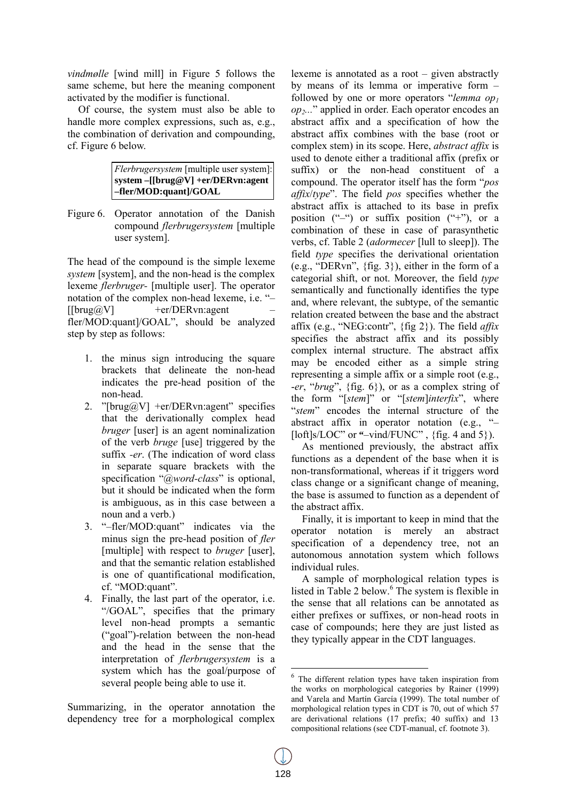*vindmølle* [wind mill] in Figure 5 follows the same scheme, but here the meaning component activated by the modifier is functional.

Of course, the system must also be able to handle more complex expressions, such as, e.g., the combination of derivation and compounding, cf. Figure 6 below.

| Flerbrugersystem [multiple user system]: |
|------------------------------------------|
| system – [[brug@V] + er / DER vn: agent  |
| -fler/MOD:quant]/GOAL                    |

Figure 6. Operator annotation of the Danish compound *flerbrugersystem* [multiple user system].

The head of the compound is the simple lexeme *system* [system], and the non-head is the complex lexeme *flerbruger-* [multiple user]. The operator notation of the complex non-head lexeme, i.e. "–  $[|brug@V]$  +er/DERvn:agent fler/MOD:quant]/GOAL", should be analyzed step by step as follows:

- 1. the minus sign introducing the square brackets that delineate the non-head indicates the pre-head position of the non-head.
- 2. "[brug $@V$ ] +er/DERvn:agent" specifies that the derivationally complex head *bruger* [user] is an agent nominalization of the verb *bruge* [use] triggered by the suffix *-er*. (The indication of word class in separate square brackets with the specification "*@word-class*" is optional, but it should be indicated when the form is ambiguous, as in this case between a noun and a verb.)
- 3. "–fler/MOD:quant" indicates via the minus sign the pre-head position of *fler* [multiple] with respect to *bruger* [user], and that the semantic relation established is one of quantificational modification, cf. "MOD:quant".
- 4. Finally, the last part of the operator, i.e. "/GOAL", specifies that the primary level non-head prompts a semantic ("goal")-relation between the non-head and the head in the sense that the interpretation of *flerbrugersystem* is a system which has the goal/purpose of several people being able to use it.

Summarizing, in the operator annotation the dependency tree for a morphological complex

lexeme is annotated as a root – given abstractly by means of its lemma or imperative form – followed by one or more operators "*lemma op1 op2...*" applied in order. Each operator encodes an abstract affix and a specification of how the abstract affix combines with the base (root or complex stem) in its scope. Here, *abstract affix* is used to denote either a traditional affix (prefix or suffix) or the non-head constituent of a compound. The operator itself has the form "*pos affix*/*type*". The field *pos* specifies whether the abstract affix is attached to its base in prefix position  $($ "-") or suffix position  $($ "+"), or a combination of these in case of parasynthetic verbs, cf. Table 2 (*adormecer* [lull to sleep]). The field *type* specifies the derivational orientation (e.g., "DERvn", {fig. 3}), either in the form of a categorial shift, or not. Moreover, the field *type* semantically and functionally identifies the type and, where relevant, the subtype, of the semantic relation created between the base and the abstract affix (e.g., "NEG:contr", {fig 2}). The field *affix*  specifies the abstract affix and its possibly complex internal structure. The abstract affix may be encoded either as a simple string representing a simple affix or a simple root (e.g., -*er*, "*brug*", {fig. 6}), or as a complex string of the form "[*stem*]" or "[*stem*]*interfix*", where "*stem*" encodes the internal structure of the abstract affix in operator notation (e.g., "– [loft]s/LOC" or **"**–vind/FUNC" , {fig. 4 and 5}).

As mentioned previously, the abstract affix functions as a dependent of the base when it is non-transformational, whereas if it triggers word class change or a significant change of meaning, the base is assumed to function as a dependent of the abstract affix.

Finally, it is important to keep in mind that the operator notation is merely an abstract specification of a dependency tree, not an autonomous annotation system which follows individual rules.

A sample of morphological relation types is listed in Table 2 below.<sup>6</sup> The system is flexible in the sense that all relations can be annotated as either prefixes or suffixes, or non-head roots in case of compounds; here they are just listed as they typically appear in the CDT languages.

<sup>6</sup> The different relation types have taken inspiration from the works on morphological categories by Rainer (1999) and Varela and Martín García (1999). The total number of morphological relation types in CDT is 70, out of which 57 are derivational relations (17 prefix; 40 suffix) and 13 compositional relations (see CDT-manual, cf. footnote 3).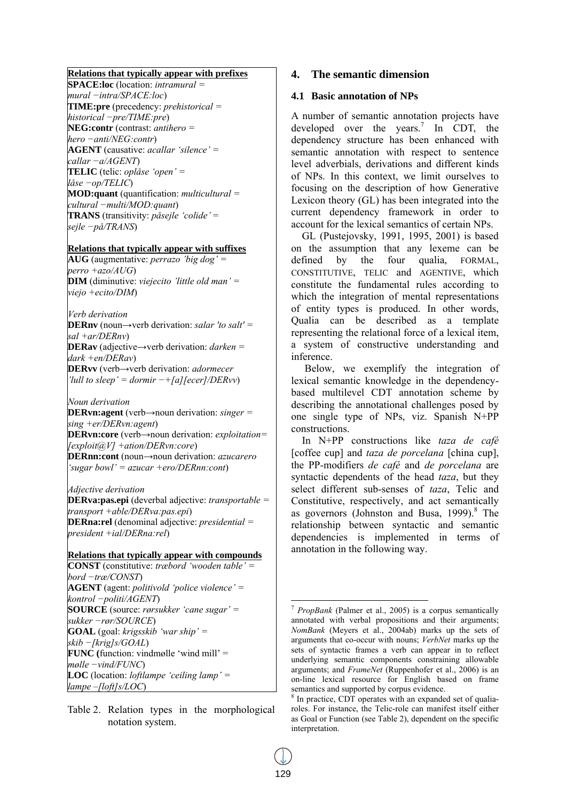### **Relations that typically appear with prefixes**

**SPACE:loc** (location: *intramural = mural −intra/SPACE:loc*) **TIME:pre** (precedency: *prehistorical = historical −pre/TIME:pre*) **NEG:contr** (contrast: *antihero = hero −anti/NEG:contr*) **AGENT** (causative: *acallar 'silence' = callar −a/AGENT*) **TELIC** (telic: *oplåse 'open' = låse −op/TELIC*) **MOD:quant** (quantification: *multicultural = cultural −multi/MOD:quant*) **TRANS** (transitivity: *påsejle 'colide'* = *sejle −på/TRANS*)

#### **Relations that typically appear with suffixes**

**AUG** (augmentative: *perrazo 'big dog' = perro +azo/AUG*) **DIM** (diminutive: *viejecito 'little old man' = viejo +ecito/DIM*)

*Verb derivation* 

**DERnv** (noun→verb derivation: *salar 'to salt' = sal +ar/DERnv*) **DERav** (adjective→verb derivation: *darken = dark +en/DERav*)

**DERvv** (verb→verb derivation: *adormecer 'lull to sleep' = dormir −+[a][ecer]/DERvv*)

*Noun derivation* 

**DERvn:agent** (verb→noun derivation: *singer = sing +er/DERvn:agent*) **DERvn:core** (verb→noun derivation: *exploitation= [exploit@V] +ation/DERvn:core*) **DERnn:cont** (noun→noun derivation: *azucarero 'sugar bowl' = azucar +ero/DERnn:cont*)

#### *Adjective derivation*

**DERva:pas.epi** (deverbal adjective: *transportable = transport +able/DERva:pas.epi*) **DERna:rel** (denominal adjective: *presidential = president +ial/DERna:rel*)

### **Relations that typically appear with compounds**

**CONST** (constitutive: *træbord 'wooden table' = bord −træ/CONST*) **AGENT** (agent: *politivold 'police violence' = kontrol −politi/AGENT*) **SOURCE** (source: *rørsukker 'cane sugar' = sukker −rør/SOURCE*) **GOAL** (goal: *krigsskib 'war ship' = skib −[krig]s/GOAL*) **FUNC (**function: vindmølle 'wind mill' = *mølle −vind/FUNC*) **LOC** (location: *loftlampe 'ceiling lamp' = lampe –[loft]s/LOC*)

### **4. The semantic dimension**

### **4.1 Basic annotation of NPs**

A number of semantic annotation projects have developed over the years.<sup>7</sup> In CDT, the dependency structure has been enhanced with semantic annotation with respect to sentence level adverbials, derivations and different kinds of NPs. In this context, we limit ourselves to focusing on the description of how Generative Lexicon theory (GL) has been integrated into the current dependency framework in order to account for the lexical semantics of certain NPs.

GL (Pustejovsky, 1991, 1995, 2001) is based on the assumption that any lexeme can be defined by the four qualia, FORMAL, CONSTITUTIVE, TELIC and AGENTIVE, which constitute the fundamental rules according to which the integration of mental representations of entity types is produced. In other words, Qualia can be described as a template representing the relational force of a lexical item, a system of constructive understanding and inference.

Below, we exemplify the integration of lexical semantic knowledge in the dependencybased multilevel CDT annotation scheme by describing the annotational challenges posed by one single type of NPs, viz. Spanish N+PP constructions.

In N+PP constructions like *taza de café* [coffee cup] and *taza de porcelana* [china cup], the PP-modifiers *de café* and *de porcelana* are syntactic dependents of the head *taza*, but they select different sub-senses of *taza*, Telic and Constitutive, respectively, and act semantically as governors (Johnston and Busa, 1999).<sup>8</sup> The relationship between syntactic and semantic dependencies is implemented in terms of annotation in the following way.

Table 2. Relation types in the morphological notation system.

<sup>7</sup> *PropBank* (Palmer et al., 2005) is a corpus semantically annotated with verbal propositions and their arguments; *NomBank* (Meyers et al., 2004ab) marks up the sets of arguments that co-occur with nouns; *VerbNet* marks up the sets of syntactic frames a verb can appear in to reflect underlying semantic components constraining allowable arguments; and *FrameNet* (Ruppenhofer et al., 2006) is an on-line lexical resource for English based on frame semantics and supported by corpus evidence.

<sup>8</sup> In practice, CDT operates with an expanded set of qualiaroles. For instance, the Telic-role can manifest itself either as Goal or Function (see Table 2), dependent on the specific interpretation.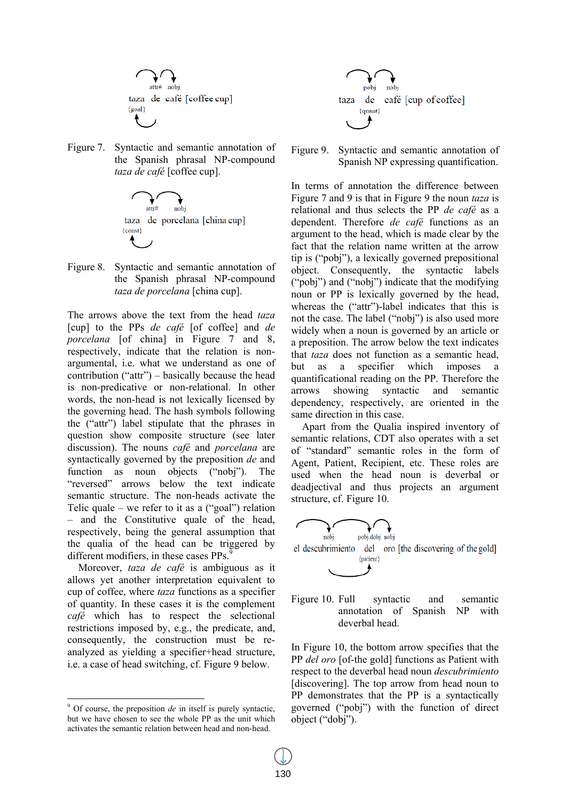

Figure 7. Syntactic and semantic annotation of the Spanish phrasal NP-compound *taza de café* [coffee cup].



Figure 8. Syntactic and semantic annotation of the Spanish phrasal NP-compound *taza de porcelana* [china cup].

The arrows above the text from the head *taza* [cup] to the PPs *de café* [of coffee] and *de porcelana* [of china] in Figure 7 and 8, respectively, indicate that the relation is nonargumental, i.e. what we understand as one of contribution ("attr") – basically because the head is non-predicative or non-relational. In other words, the non-head is not lexically licensed by the governing head. The hash symbols following the ("attr") label stipulate that the phrases in question show composite structure (see later discussion). The nouns *café* and *porcelana* are syntactically governed by the preposition *de* and function as noun objects ("nobj"). The "reversed" arrows below the text indicate semantic structure. The non-heads activate the Telic quale – we refer to it as a  $("goal")$  relation – and the Constitutive quale of the head, respectively, being the general assumption that the qualia of the head can be triggered by different modifiers, in these cases PPs.<sup>9</sup>

Moreover, *taza de café* is ambiguous as it allows yet another interpretation equivalent to cup of coffee, where *taza* functions as a specifier of quantity. In these cases it is the complement *café* which has to respect the selectional restrictions imposed by, e.g., the predicate, and, consequently, the construction must be reanalyzed as yielding a specifier+head structure, i.e. a case of head switching, cf. Figure 9 below.



Figure 9. Syntactic and semantic annotation of Spanish NP expressing quantification.

In terms of annotation the difference between Figure 7 and 9 is that in Figure 9 the noun *taza* is relational and thus selects the PP *de café* as a dependent. Therefore *de café* functions as an argument to the head, which is made clear by the fact that the relation name written at the arrow tip is ("pobj"), a lexically governed prepositional object. Consequently, the syntactic labels ("pobj") and ("nobj") indicate that the modifying noun or PP is lexically governed by the head, whereas the ("attr")-label indicates that this is not the case. The label ("nobj") is also used more widely when a noun is governed by an article or a preposition. The arrow below the text indicates that *taza* does not function as a semantic head, but as a specifier which imposes a quantificational reading on the PP. Therefore the arrows showing syntactic and semantic dependency, respectively, are oriented in the same direction in this case.

Apart from the Qualia inspired inventory of semantic relations, CDT also operates with a set of "standard" semantic roles in the form of Agent, Patient, Recipient, etc. These roles are used when the head noun is deverbal or deadjectival and thus projects an argument structure, cf. Figure 10.



Figure 10. Full syntactic and semantic annotation of Spanish NP with deverbal head.

In Figure 10, the bottom arrow specifies that the PP *del oro* [of-the gold] functions as Patient with respect to the deverbal head noun *descubrimiento* [discovering]. The top arrow from head noun to PP demonstrates that the PP is a syntactically governed ("pobj") with the function of direct object ("dobj").

<sup>&</sup>lt;sup>9</sup> Of course, the preposition *de* in itself is purely syntactic, but we have chosen to see the whole PP as the unit which activates the semantic relation between head and non-head.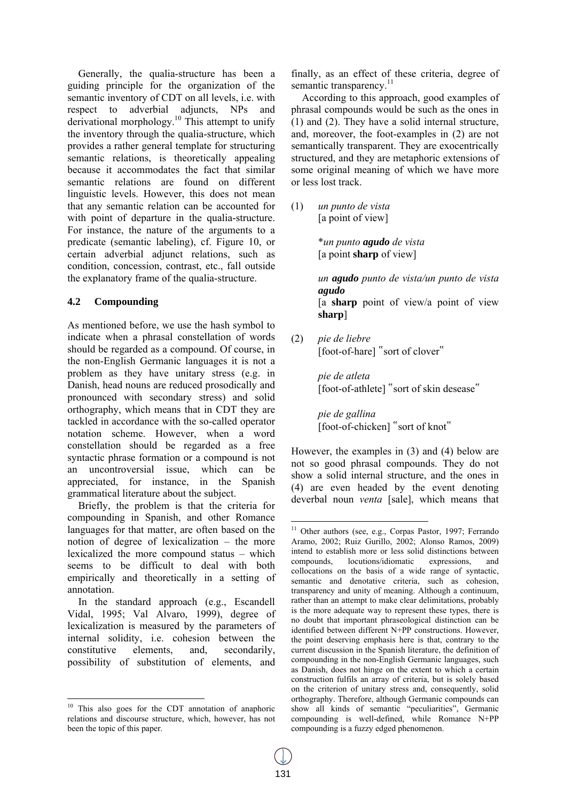Generally, the qualia-structure has been a guiding principle for the organization of the semantic inventory of CDT on all levels, i.e. with respect to adverbial adjuncts, NPs and derivational morphology.10 This attempt to unify the inventory through the qualia-structure, which provides a rather general template for structuring semantic relations, is theoretically appealing because it accommodates the fact that similar semantic relations are found on different linguistic levels. However, this does not mean that any semantic relation can be accounted for with point of departure in the qualia-structure. For instance, the nature of the arguments to a predicate (semantic labeling), cf. Figure 10, or certain adverbial adjunct relations, such as condition, concession, contrast, etc., fall outside the explanatory frame of the qualia-structure.

### **4.2 Compounding**

As mentioned before, we use the hash symbol to indicate when a phrasal constellation of words should be regarded as a compound. Of course, in the non-English Germanic languages it is not a problem as they have unitary stress (e.g. in Danish, head nouns are reduced prosodically and pronounced with secondary stress) and solid orthography, which means that in CDT they are tackled in accordance with the so-called operator notation scheme. However, when a word constellation should be regarded as a free syntactic phrase formation or a compound is not an uncontroversial issue, which can be appreciated, for instance, in the Spanish grammatical literature about the subject.

Briefly, the problem is that the criteria for compounding in Spanish, and other Romance languages for that matter, are often based on the notion of degree of lexicalization – the more lexicalized the more compound status – which seems to be difficult to deal with both empirically and theoretically in a setting of annotation.

In the standard approach (e.g., Escandell Vidal, 1995; Val Alvaro, 1999), degree of lexicalization is measured by the parameters of internal solidity, i.e. cohesion between the constitutive elements, and, secondarily, possibility of substitution of elements, and

finally, as an effect of these criteria, degree of semantic transparency.<sup>11</sup>

According to this approach, good examples of phrasal compounds would be such as the ones in (1) and (2). They have a solid internal structure, and, moreover, the foot-examples in (2) are not semantically transparent. They are exocentrically structured, and they are metaphoric extensions of some original meaning of which we have more or less lost track.

(1) *un punto de vista*  [a point of view]

> \**un punto agudo de vista*  [a point **sharp** of view]

*un agudo punto de vista/un punto de vista agudo*  [a **sharp** point of view/a point of view **sharp**]

(2) *pie de liebre*  [foot-of-hare] "sort of clover"

*pie de atleta*  [foot-of-athlete] "sort of skin desease"

*pie de gallina*  [foot-of-chicken] "sort of knot"

However, the examples in (3) and (4) below are not so good phrasal compounds. They do not show a solid internal structure, and the ones in (4) are even headed by the event denoting deverbal noun *venta* [sale], which means that

 <sup>10</sup> This also goes for the CDT annotation of anaphoric relations and discourse structure, which, however, has not been the topic of this paper.

<sup>&</sup>lt;sup>11</sup> Other authors (see, e.g., Corpas Pastor, 1997; Ferrando Aramo, 2002; Ruiz Gurillo, 2002; Alonso Ramos, 2009) intend to establish more or less solid distinctions between compounds, locutions/idiomatic expressions, and collocations on the basis of a wide range of syntactic, semantic and denotative criteria, such as cohesion, transparency and unity of meaning. Although a continuum, rather than an attempt to make clear delimitations, probably is the more adequate way to represent these types, there is no doubt that important phraseological distinction can be identified between different N+PP constructions. However, the point deserving emphasis here is that, contrary to the current discussion in the Spanish literature, the definition of compounding in the non-English Germanic languages, such as Danish, does not hinge on the extent to which a certain construction fulfils an array of criteria, but is solely based on the criterion of unitary stress and, consequently, solid orthography. Therefore, although Germanic compounds can show all kinds of semantic "peculiarities", Germanic compounding is well-defined, while Romance N+PP compounding is a fuzzy edged phenomenon.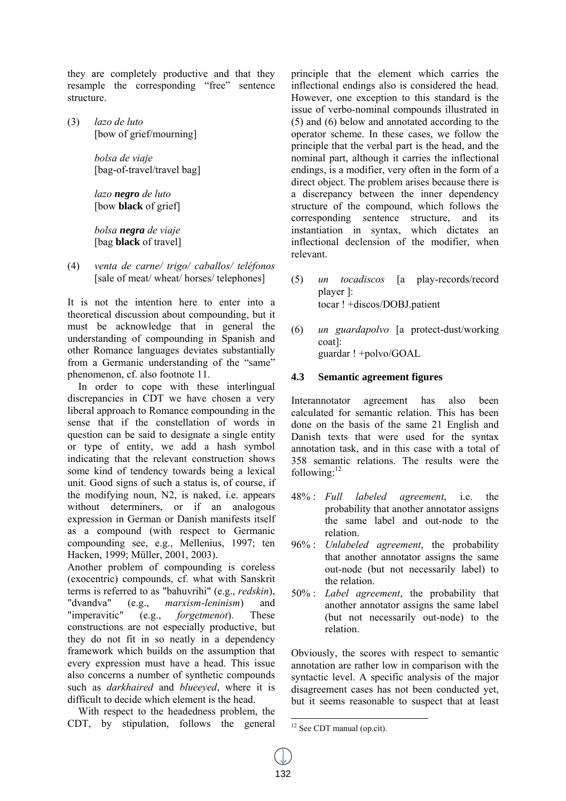they are completely productive and that they resample the corresponding "free" sentence structure.

(3) *lazo de luto*  [bow of grief/mourning]

> *bolsa de viaje*  [bag-of-travel/travel bag]

*lazo negro de luto*  [bow **black** of grief]

*bolsa negra de viaje*  [bag **black** of travel]

(4) *venta de carne/ trigo/ caballos/ teléfonos*  [sale of meat/ wheat/ horses/ telephones]

It is not the intention here to enter into a theoretical discussion about compounding, but it must be acknowledge that in general the understanding of compounding in Spanish and other Romance languages deviates substantially from a Germanic understanding of the "same" phenomenon, cf. also footnote 11.

In order to cope with these interlingual discrepancies in CDT we have chosen a very liberal approach to Romance compounding in the sense that if the constellation of words in question can be said to designate a single entity or type of entity, we add a hash symbol indicating that the relevant construction shows some kind of tendency towards being a lexical unit. Good signs of such a status is, of course, if the modifying noun, N2, is naked, i.e. appears without determiners, or if an analogous expression in German or Danish manifests itself as a compound (with respect to Germanic compounding see, e.g., Mellenius, 1997; ten Hacken, 1999; Müller, 2001, 2003).

Another problem of compounding is coreless (exocentric) compounds, cf. what with Sanskrit terms is referred to as "bahuvrihi" (e.g., *redskin*), "dvandva" (e.g., *marxism-leninism*) and "imperavitic" (e.g., *forgetmenot*). These constructions are not especially productive, but they do not fit in so neatly in a dependency framework which builds on the assumption that every expression must have a head. This issue also concerns a number of synthetic compounds such as *darkhaired* and *blueeyed*, where it is difficult to decide which element is the head.

With respect to the headedness problem, the CDT, by stipulation, follows the general principle that the element which carries the inflectional endings also is considered the head. However, one exception to this standard is the issue of verbo-nominal compounds illustrated in (5) and (6) below and annotated according to the operator scheme. In these cases, we follow the principle that the verbal part is the head, and the nominal part, although it carries the inflectional endings, is a modifier, very often in the form of a direct object. The problem arises because there is a discrepancy between the inner dependency structure of the compound, which follows the corresponding sentence structure, and its instantiation in syntax, which dictates an inflectional declension of the modifier, when relevant.

- (5) *un tocadiscos* [a play-records/record player ]: tocar ! +discos/DOBJ.patient
- (6) *un guardapolvo* [a protect-dust/working coat]: guardar ! +polvo/GOAL

### **4.3 Semantic agreement figures**

Interannotator agreement has also been calculated for semantic relation. This has been done on the basis of the same 21 English and Danish texts that were used for the syntax annotation task, and in this case with a total of 358 semantic relations. The results were the following:<sup>12</sup>

- 48% : *Full labeled agreement*, i.e. the probability that another annotator assigns the same label and out-node to the relation.
- 96% : *Unlabeled agreement*, the probability that another annotator assigns the same out-node (but not necessarily label) to the relation.
- 50% : *Label agreement*, the probability that another annotator assigns the same label (but not necessarily out-node) to the relation.

Obviously, the scores with respect to semantic annotation are rather low in comparison with the syntactic level. A specific analysis of the major disagreement cases has not been conducted yet, but it seems reasonable to suspect that at least

  $12$  See CDT manual (op.cit).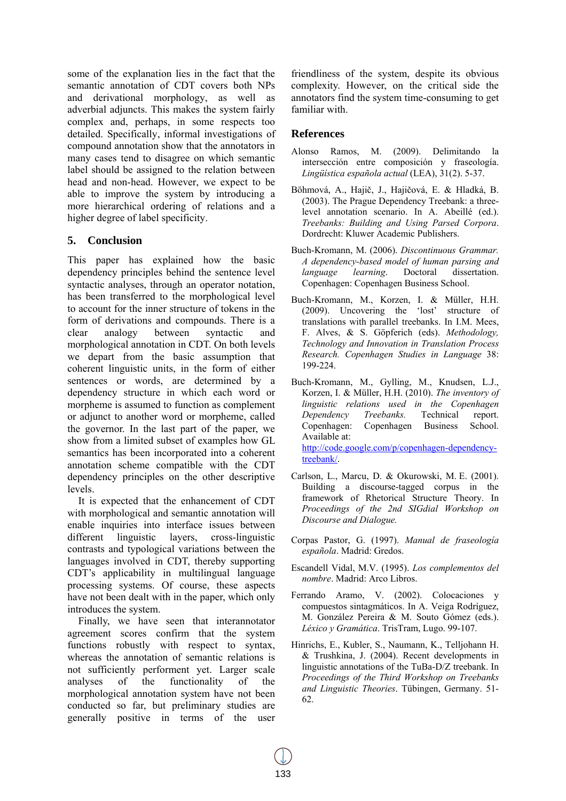some of the explanation lies in the fact that the semantic annotation of CDT covers both NPs and derivational morphology, as well as adverbial adjuncts. This makes the system fairly complex and, perhaps, in some respects too detailed. Specifically, informal investigations of compound annotation show that the annotators in many cases tend to disagree on which semantic label should be assigned to the relation between head and non-head. However, we expect to be able to improve the system by introducing a more hierarchical ordering of relations and a higher degree of label specificity.

# **5. Conclusion**

This paper has explained how the basic dependency principles behind the sentence level syntactic analyses, through an operator notation, has been transferred to the morphological level to account for the inner structure of tokens in the form of derivations and compounds. There is a clear analogy between syntactic and morphological annotation in CDT. On both levels we depart from the basic assumption that coherent linguistic units, in the form of either sentences or words, are determined by a dependency structure in which each word or morpheme is assumed to function as complement or adjunct to another word or morpheme, called the governor. In the last part of the paper, we show from a limited subset of examples how GL semantics has been incorporated into a coherent annotation scheme compatible with the CDT dependency principles on the other descriptive levels.

It is expected that the enhancement of CDT with morphological and semantic annotation will enable inquiries into interface issues between different linguistic layers, cross-linguistic contrasts and typological variations between the languages involved in CDT, thereby supporting CDT's applicability in multilingual language processing systems. Of course, these aspects have not been dealt with in the paper, which only introduces the system.

Finally, we have seen that interannotator agreement scores confirm that the system functions robustly with respect to syntax, whereas the annotation of semantic relations is not sufficiently performent yet. Larger scale analyses of the functionality of the morphological annotation system have not been conducted so far, but preliminary studies are generally positive in terms of the user friendliness of the system, despite its obvious complexity. However, on the critical side the annotators find the system time-consuming to get familiar with.

### **References**

- Alonso Ramos, M. (2009). Delimitando la intersección entre composición y fraseología. *Lingüística española actual* (LEA), 31(2). 5-37.
- Böhmová, A., Hajič, J., Hajičová, E. & Hladká, B. (2003). The Prague Dependency Treebank: a threelevel annotation scenario. In A. Abeillé (ed.). *Treebanks: Building and Using Parsed Corpora*. Dordrecht: Kluwer Academic Publishers.
- Buch-Kromann, M. (2006). *Discontinuous Grammar. A dependency-based model of human parsing and language learning*. Doctoral dissertation. Copenhagen: Copenhagen Business School.
- Buch-Kromann, M., Korzen, I. & Müller, H.H. (2009). Uncovering the 'lost' structure of translations with parallel treebanks. In I.M. Mees, F. Alves, & S. Göpferich (eds). *Methodology, Technology and Innovation in Translation Process Research. Copenhagen Studies in Language* 38: 199-224.
- Buch-Kromann, M., Gylling, M., Knudsen, L.J., Korzen, I. & Müller, H.H. (2010). *The inventory of linguistic relations used in the Copenhagen Dependency Treebanks.* Technical report. Copenhagen: Copenhagen Business School. Available at: http://code.google.com/p/copenhagen-dependencytreebank/.
- Carlson, L., Marcu, D. & Okurowski, M. E. (2001). Building a discourse-tagged corpus in the framework of Rhetorical Structure Theory. In *Proceedings of the 2nd SIGdial Workshop on Discourse and Dialogue.*
- Corpas Pastor, G. (1997). *Manual de fraseología española*. Madrid: Gredos.
- Escandell Vidal, M.V. (1995). *Los complementos del nombre*. Madrid: Arco Libros.
- Ferrando Aramo, V. (2002). Colocaciones y compuestos sintagmáticos. In A. Veiga Rodríguez, M. González Pereira & M. Souto Gómez (eds.). *Léxico y Gramática*. TrisTram, Lugo. 99-107.
- Hinrichs, E., Kubler, S., Naumann, K., Telljohann H. & Trushkina, J. (2004). Recent developments in linguistic annotations of the TuBa-D/Z treebank. In *Proceedings of the Third Workshop on Treebanks and Linguistic Theories*. Tübingen, Germany. 51- 62.